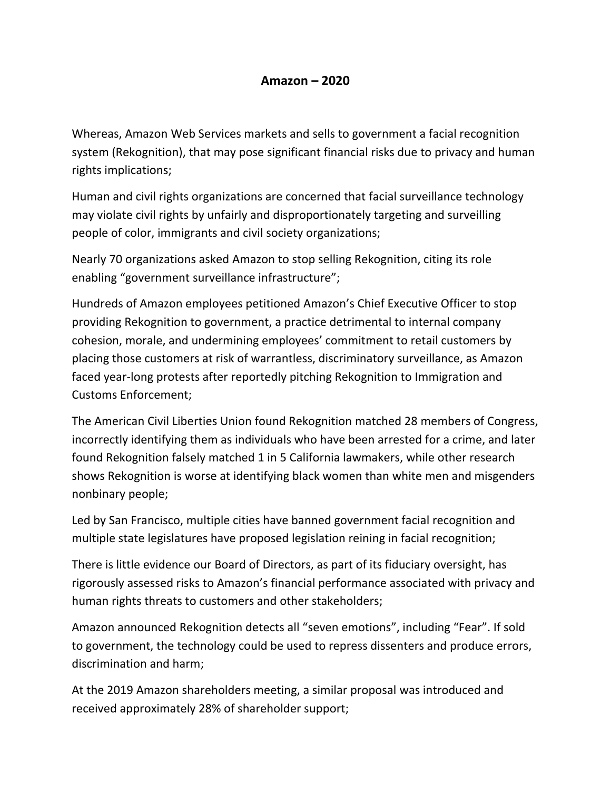## **Amazon – 2020**

Whereas, Amazon Web Services markets and sells to government a facial recognition system (Rekognition), that may pose significant financial risks due to privacy and human rights implications;

Human and civil rights organizations are concerned that facial surveillance technology may violate civil rights by unfairly and disproportionately targeting and surveilling people of color, immigrants and civil society organizations;

Nearly 70 organizations asked Amazon to stop selling Rekognition, citing its role enabling "government surveillance infrastructure";

Hundreds of Amazon employees petitioned Amazon's Chief Executive Officer to stop providing Rekognition to government, a practice detrimental to internal company cohesion, morale, and undermining employees' commitment to retail customers by placing those customers at risk of warrantless, discriminatory surveillance, as Amazon faced year-long protests after reportedly pitching Rekognition to Immigration and Customs Enforcement;

The American Civil Liberties Union found Rekognition matched 28 members of Congress, incorrectly identifying them as individuals who have been arrested for a crime, and later found Rekognition falsely matched 1 in 5 California lawmakers, while other research shows Rekognition is worse at identifying black women than white men and misgenders nonbinary people;

Led by San Francisco, multiple cities have banned government facial recognition and multiple state legislatures have proposed legislation reining in facial recognition;

There is little evidence our Board of Directors, as part of its fiduciary oversight, has rigorously assessed risks to Amazon's financial performance associated with privacy and human rights threats to customers and other stakeholders;

Amazon announced Rekognition detects all "seven emotions", including "Fear". If sold to government, the technology could be used to repress dissenters and produce errors, discrimination and harm;

At the 2019 Amazon shareholders meeting, a similar proposal was introduced and received approximately 28% of shareholder support;